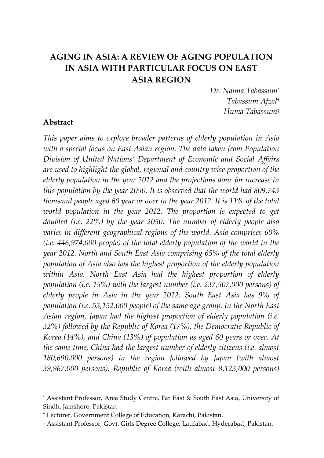# **AGING IN ASIA: A REVIEW OF AGING POPULATION IN ASIA WITH PARTICULAR FOCUS ON EAST ASIA REGION**

*Dr. Naima Tabassum*\* *Tabassum Afzal*† *Huma Tabassum*‡

#### **Abstract**

 $\overline{a}$ 

*This paper aims to explore broader patterns of elderly population in Asia with a special focus on East Asian region. The data taken from Population Division of United Nations' Department of Economic and Social Affairs are used to highlight the global, regional and country wise proportion of the elderly population in the year 2012 and the projections done for increase in this population by the year 2050. It is observed that the world had 809,743 thousand people aged 60 year or over in the year 2012. It is 11% of the total world population in the year 2012. The proportion is expected to get doubled (i.e. 22%) by the year 2050. The number of elderly people also varies in different geographical regions of the world. Asia comprises 60% (i.e. 446,974,000 people) of the total elderly population of the world in the year 2012. North and South East Asia comprising 65% of the total elderly population of Asia also has the highest proportion of the elderly population within Asia. North East Asia had the highest proportion of elderly population (i.e. 15%) with the largest number (i.e. 237,507,000 persons) of elderly people in Asia in the year 2012. South East Asia has 9% of population (i.e. 53,152,000 people) of the same age group. In the North East Asian region, Japan had the highest proportion of elderly population (i.e. 32%) followed by the Republic of Korea (17%), the Democratic Republic of Korea (14%), and China (13%) of population as aged 60 years or over. At the same time, China had the largest number of elderly citizens (i.e. almost 180,690,000 persons) in the region followed by Japan (with almost 39,967,000 persons), Republic of Korea (with almost 8,123,000 persons)* 

<sup>\*</sup> Assistant Professor, Area Study Centre, Far East & South East Asia, University of Sindh, Jamshoro, Pakistan

<sup>†</sup> Lecturer, Government College of Education, Karachi, Pakistan.

<sup>‡</sup> Assistant Professor, Govt. Girls Degree College, Latifabad, Hyderabad, Pakistan.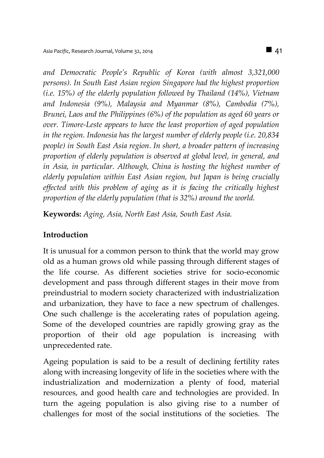*and Democratic People's Republic of Korea (with almost 3,321,000 persons). In South East Asian region Singapore had the highest proportion (i.e. 15%) of the elderly population followed by Thailand (14%), Vietnam and Indonesia (9%), Malaysia and Myanmar (8%), Cambodia (7%), Brunei, Laos and the Philippines (6%) of the population as aged 60 years or over. Timore-Leste appears to have the least proportion of aged population in the region. Indonesia has the largest number of elderly people (i.e. 20,834 people) in South East Asia region. In short, a broader pattern of increasing proportion of elderly population is observed at global level, in general, and in Asia, in particular. Although, China is hosting the highest number of elderly population within East Asian region, but Japan is being crucially effected with this problem of aging as it is facing the critically highest proportion of the elderly population (that is 32%) around the world.* 

**Keywords:** *Aging, Asia, North East Asia, South East Asia.*

# **Introduction**

It is unusual for a common person to think that the world may grow old as a human grows old while passing through different stages of the life course. As different societies strive for socio-economic development and pass through different stages in their move from preindustrial to modern society characterized with industrialization and urbanization, they have to face a new spectrum of challenges. One such challenge is the accelerating rates of population ageing. Some of the developed countries are rapidly growing gray as the proportion of their old age population is increasing with unprecedented rate.

Ageing population is said to be a result of declining fertility rates along with increasing longevity of life in the societies where with the industrialization and modernization a plenty of food, material resources, and good health care and technologies are provided. In turn the ageing population is also giving rise to a number of challenges for most of the social institutions of the societies. The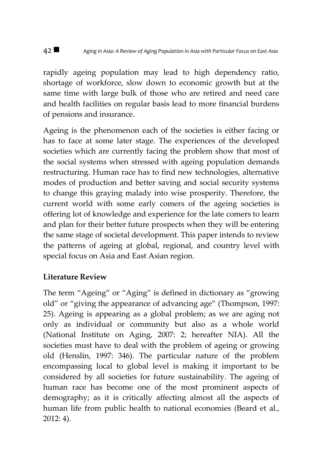rapidly ageing population may lead to high dependency ratio, shortage of workforce, slow down to economic growth but at the same time with large bulk of those who are retired and need care and health facilities on regular basis lead to more financial burdens of pensions and insurance.

Ageing is the phenomenon each of the societies is either facing or has to face at some later stage. The experiences of the developed societies which are currently facing the problem show that most of the social systems when stressed with ageing population demands restructuring. Human race has to find new technologies, alternative modes of production and better saving and social security systems to change this graying malady into wise prosperity. Therefore, the current world with some early comers of the ageing societies is offering lot of knowledge and experience for the late comers to learn and plan for their better future prospects when they will be entering the same stage of societal development. This paper intends to review the patterns of ageing at global, regional, and country level with special focus on Asia and East Asian region.

# **Literature Review**

The term "Ageing" or "Aging" is defined in dictionary as "growing old" or "giving the appearance of advancing age" (Thompson, 1997: 25). Ageing is appearing as a global problem; as we are aging not only as individual or community but also as a whole world (National Institute on Aging, 2007: 2; hereafter NIA). All the societies must have to deal with the problem of ageing or growing old (Henslin, 1997: 346). The particular nature of the problem encompassing local to global level is making it important to be considered by all societies for future sustainability. The ageing of human race has become one of the most prominent aspects of demography; as it is critically affecting almost all the aspects of human life from public health to national economies (Beard et al., 2012: 4).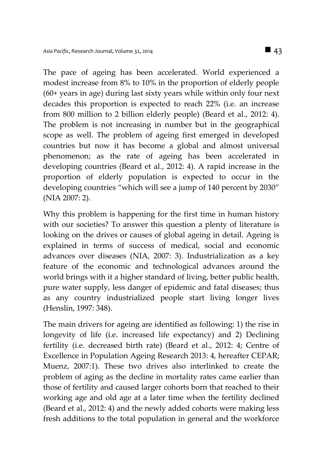The pace of ageing has been accelerated. World experienced a modest increase from 8% to 10% in the proportion of elderly people (60+ years in age) during last sixty years while within only four next decades this proportion is expected to reach 22% (i.e. an increase from 800 million to 2 billion elderly people) (Beard et al., 2012: 4). The problem is not increasing in number but in the geographical scope as well. The problem of ageing first emerged in developed countries but now it has become a global and almost universal phenomenon; as the rate of ageing has been accelerated in developing countries (Beard et al., 2012: 4). A rapid increase in the proportion of elderly population is expected to occur in the developing countries "which will see a jump of 140 percent by 2030" (NIA 2007: 2).

Why this problem is happening for the first time in human history with our societies? To answer this question a plenty of literature is looking on the drives or causes of global ageing in detail. Ageing is explained in terms of success of medical, social and economic advances over diseases (NIA, 2007: 3). Industrialization as a key feature of the economic and technological advances around the world brings with it a higher standard of living, better public health, pure water supply, less danger of epidemic and fatal diseases; thus as any country industrialized people start living longer lives (Henslin, 1997: 348).

The main drivers for ageing are identified as following: 1) the rise in longevity of life (i.e. increased life expectancy) and 2) Declining fertility (i.e. decreased birth rate) (Beard et al., 2012: 4; Centre of Excellence in Population Ageing Research 2013: 4, hereafter CEPAR; Muenz, 2007:1). These two drives also interlinked to create the problem of aging as the decline in mortality rates came earlier than those of fertility and caused larger cohorts born that reached to their working age and old age at a later time when the fertility declined (Beard et al., 2012: 4) and the newly added cohorts were making less fresh additions to the total population in general and the workforce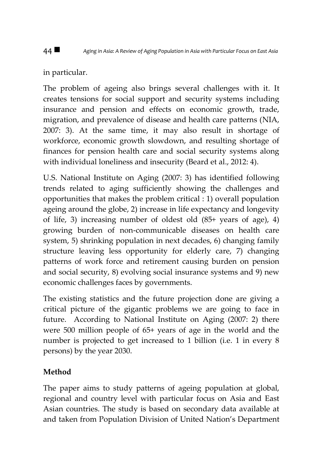in particular.

The problem of ageing also brings several challenges with it. It creates tensions for social support and security systems including insurance and pension and effects on economic growth, trade, migration, and prevalence of disease and health care patterns (NIA, 2007: 3). At the same time, it may also result in shortage of workforce, economic growth slowdown, and resulting shortage of finances for pension health care and social security systems along with individual loneliness and insecurity (Beard et al., 2012: 4).

U.S. National Institute on Aging (2007: 3) has identified following trends related to aging sufficiently showing the challenges and opportunities that makes the problem critical : 1) overall population ageing around the globe, 2) increase in life expectancy and longevity of life, 3) increasing number of oldest old (85+ years of age), 4) growing burden of non-communicable diseases on health care system, 5) shrinking population in next decades, 6) changing family structure leaving less opportunity for elderly care, 7) changing patterns of work force and retirement causing burden on pension and social security, 8) evolving social insurance systems and 9) new economic challenges faces by governments.

The existing statistics and the future projection done are giving a critical picture of the gigantic problems we are going to face in future. According to National Institute on Aging (2007: 2) there were 500 million people of 65+ years of age in the world and the number is projected to get increased to 1 billion (i.e. 1 in every 8 persons) by the year 2030.

# **Method**

The paper aims to study patterns of ageing population at global, regional and country level with particular focus on Asia and East Asian countries. The study is based on secondary data available at and taken from Population Division of United Nation's Department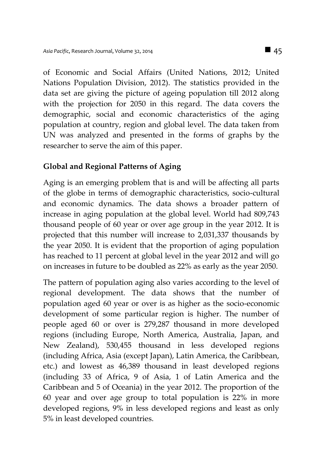of Economic and Social Affairs (United Nations, 2012; United Nations Population Division, 2012). The statistics provided in the data set are giving the picture of ageing population till 2012 along with the projection for 2050 in this regard. The data covers the demographic, social and economic characteristics of the aging population at country, region and global level. The data taken from UN was analyzed and presented in the forms of graphs by the researcher to serve the aim of this paper.

### **Global and Regional Patterns of Aging**

Aging is an emerging problem that is and will be affecting all parts of the globe in terms of demographic characteristics, socio-cultural and economic dynamics. The data shows a broader pattern of increase in aging population at the global level. World had 809,743 thousand people of 60 year or over age group in the year 2012. It is projected that this number will increase to 2,031,337 thousands by the year 2050. It is evident that the proportion of aging population has reached to 11 percent at global level in the year 2012 and will go on increases in future to be doubled as 22% as early as the year 2050.

The pattern of population aging also varies according to the level of regional development. The data shows that the number of population aged 60 year or over is as higher as the socio-economic development of some particular region is higher. The number of people aged 60 or over is 279,287 thousand in more developed regions (including Europe, North America, Australia, Japan, and New Zealand), 530,455 thousand in less developed regions (including Africa, Asia (except Japan), Latin America, the Caribbean, etc.) and lowest as 46,389 thousand in least developed regions (including 33 of Africa, 9 of Asia, 1 of Latin America and the Caribbean and 5 of Oceania) in the year 2012. The proportion of the 60 year and over age group to total population is 22% in more developed regions, 9% in less developed regions and least as only 5% in least developed countries.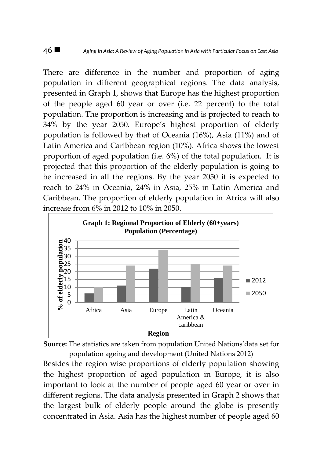There are difference in the number and proportion of aging population in different geographical regions. The data analysis, presented in Graph 1, shows that Europe has the highest proportion of the people aged 60 year or over (i.e. 22 percent) to the total population. The proportion is increasing and is projected to reach to 34% by the year 2050. Europe's highest proportion of elderly population is followed by that of Oceania (16%), Asia (11%) and of Latin America and Caribbean region (10%). Africa shows the lowest proportion of aged population (i.e. 6%) of the total population. It is projected that this proportion of the elderly population is going to be increased in all the regions. By the year 2050 it is expected to reach to 24% in Oceania, 24% in Asia, 25% in Latin America and Caribbean. The proportion of elderly population in Africa will also increase from 6% in 2012 to 10% in 2050.



**Source:** The statistics are taken from population United Nations'data set for population ageing and development (United Nations 2012)

Besides the region wise proportions of elderly population showing the highest proportion of aged population in Europe, it is also important to look at the number of people aged 60 year or over in different regions. The data analysis presented in Graph 2 shows that the largest bulk of elderly people around the globe is presently concentrated in Asia. Asia has the highest number of people aged 60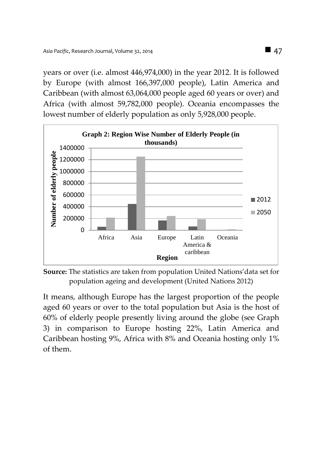years or over (i.e. almost 446,974,000) in the year 2012. It is followed by Europe (with almost 166,397,000 people), Latin America and Caribbean (with almost 63,064,000 people aged 60 years or over) and Africa (with almost 59,782,000 people). Oceania encompasses the lowest number of elderly population as only 5,928,000 people.



**Source:** The statistics are taken from population United Nations'data set for population ageing and development (United Nations 2012)

It means, although Europe has the largest proportion of the people aged 60 years or over to the total population but Asia is the host of 60% of elderly people presently living around the globe (see Graph 3) in comparison to Europe hosting 22%, Latin America and Caribbean hosting 9%, Africa with 8% and Oceania hosting only 1% of them.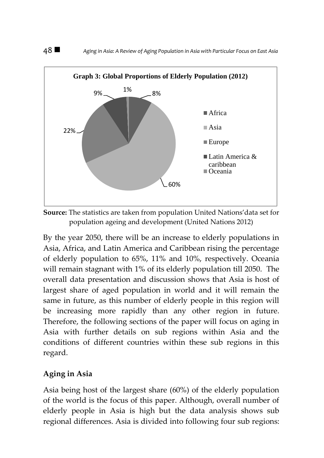

**Source:** The statistics are taken from population United Nations'data set for population ageing and development (United Nations 2012)

By the year 2050, there will be an increase to elderly populations in Asia, Africa, and Latin America and Caribbean rising the percentage of elderly population to 65%, 11% and 10%, respectively. Oceania will remain stagnant with 1% of its elderly population till 2050. The overall data presentation and discussion shows that Asia is host of largest share of aged population in world and it will remain the same in future, as this number of elderly people in this region will be increasing more rapidly than any other region in future. Therefore, the following sections of the paper will focus on aging in Asia with further details on sub regions within Asia and the conditions of different countries within these sub regions in this regard.

### **Aging in Asia**

Asia being host of the largest share (60%) of the elderly population of the world is the focus of this paper. Although, overall number of elderly people in Asia is high but the data analysis shows sub regional differences. Asia is divided into following four sub regions: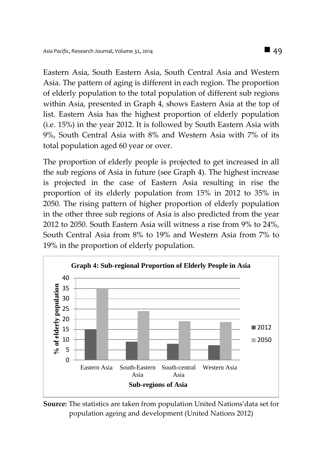Eastern Asia, South Eastern Asia, South Central Asia and Western Asia. The pattern of aging is different in each region. The proportion of elderly population to the total population of different sub regions within Asia, presented in Graph 4, shows Eastern Asia at the top of list. Eastern Asia has the highest proportion of elderly population (i.e. 15%) in the year 2012. It is followed by South Eastern Asia with 9%, South Central Asia with 8% and Western Asia with 7% of its total population aged 60 year or over.

The proportion of elderly people is projected to get increased in all the sub regions of Asia in future (see Graph 4). The highest increase is projected in the case of Eastern Asia resulting in rise the proportion of its elderly population from 15% in 2012 to 35% in 2050. The rising pattern of higher proportion of elderly population in the other three sub regions of Asia is also predicted from the year 2012 to 2050. South Eastern Asia will witness a rise from 9% to 24%, South Central Asia from 8% to 19% and Western Asia from 7% to 19% in the proportion of elderly population.

![](_page_9_Figure_3.jpeg)

**Source:** The statistics are taken from population United Nations'data set for population ageing and development (United Nations 2012)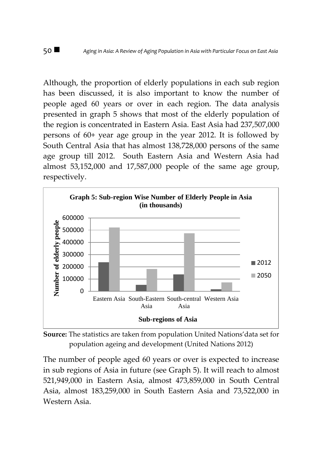Although, the proportion of elderly populations in each sub region has been discussed, it is also important to know the number of people aged 60 years or over in each region. The data analysis presented in graph 5 shows that most of the elderly population of the region is concentrated in Eastern Asia. East Asia had 237,507,000 persons of 60+ year age group in the year 2012. It is followed by South Central Asia that has almost 138,728,000 persons of the same age group till 2012. South Eastern Asia and Western Asia had almost 53,152,000 and 17,587,000 people of the same age group, respectively.

![](_page_10_Figure_2.jpeg)

**Source:** The statistics are taken from population United Nations'data set for population ageing and development (United Nations 2012)

The number of people aged 60 years or over is expected to increase in sub regions of Asia in future (see Graph 5). It will reach to almost 521,949,000 in Eastern Asia, almost 473,859,000 in South Central Asia, almost 183,259,000 in South Eastern Asia and 73,522,000 in Western Asia.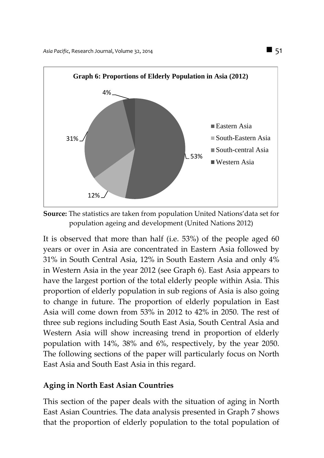![](_page_11_Figure_1.jpeg)

**Source:** The statistics are taken from population United Nations'data set for population ageing and development (United Nations 2012)

It is observed that more than half (i.e. 53%) of the people aged 60 years or over in Asia are concentrated in Eastern Asia followed by 31% in South Central Asia, 12% in South Eastern Asia and only 4% in Western Asia in the year 2012 (see Graph 6). East Asia appears to have the largest portion of the total elderly people within Asia. This proportion of elderly population in sub regions of Asia is also going to change in future. The proportion of elderly population in East Asia will come down from 53% in 2012 to 42% in 2050. The rest of three sub regions including South East Asia, South Central Asia and Western Asia will show increasing trend in proportion of elderly population with 14%, 38% and 6%, respectively, by the year 2050. The following sections of the paper will particularly focus on North East Asia and South East Asia in this regard.

#### **Aging in North East Asian Countries**

This section of the paper deals with the situation of aging in North East Asian Countries. The data analysis presented in Graph 7 shows that the proportion of elderly population to the total population of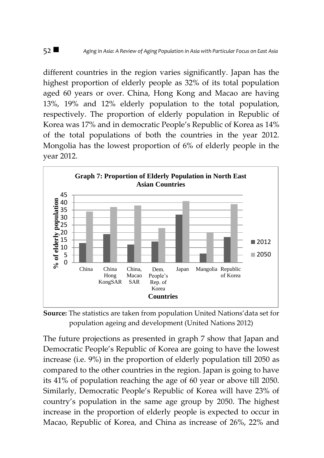different countries in the region varies significantly. Japan has the highest proportion of elderly people as 32% of its total population aged 60 years or over. China, Hong Kong and Macao are having 13%, 19% and 12% elderly population to the total population, respectively. The proportion of elderly population in Republic of Korea was 17% and in democratic People's Republic of Korea as 14% of the total populations of both the countries in the year 2012. Mongolia has the lowest proportion of 6% of elderly people in the year 2012.

![](_page_12_Figure_2.jpeg)

**Source:** The statistics are taken from population United Nations'data set for population ageing and development (United Nations 2012)

The future projections as presented in graph 7 show that Japan and Democratic People's Republic of Korea are going to have the lowest increase (i.e. 9%) in the proportion of elderly population till 2050 as compared to the other countries in the region. Japan is going to have its 41% of population reaching the age of 60 year or above till 2050. Similarly, Democratic People's Republic of Korea will have 23% of country's population in the same age group by 2050. The highest increase in the proportion of elderly people is expected to occur in Macao, Republic of Korea, and China as increase of 26%, 22% and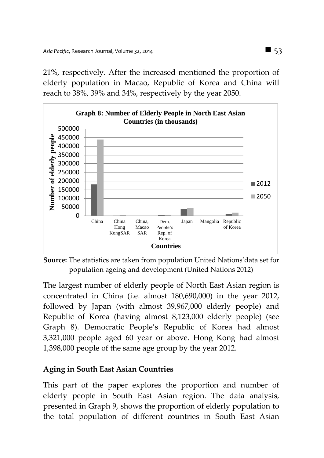21%, respectively. After the increased mentioned the proportion of elderly population in Macao, Republic of Korea and China will reach to 38%, 39% and 34%, respectively by the year 2050.

![](_page_13_Figure_2.jpeg)

**Source:** The statistics are taken from population United Nations'data set for population ageing and development (United Nations 2012)

The largest number of elderly people of North East Asian region is concentrated in China (i.e. almost 180,690,000) in the year 2012, followed by Japan (with almost 39,967,000 elderly people) and Republic of Korea (having almost 8,123,000 elderly people) (see Graph 8). Democratic People's Republic of Korea had almost 3,321,000 people aged 60 year or above. Hong Kong had almost 1,398,000 people of the same age group by the year 2012.

### **Aging in South East Asian Countries**

This part of the paper explores the proportion and number of elderly people in South East Asian region. The data analysis, presented in Graph 9, shows the proportion of elderly population to the total population of different countries in South East Asian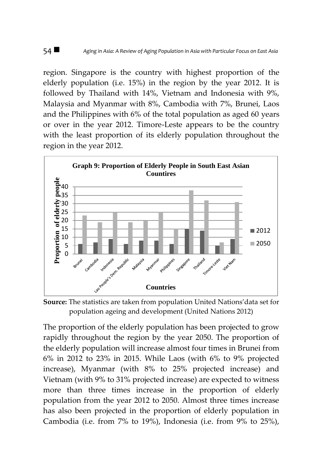region. Singapore is the country with highest proportion of the elderly population (i.e. 15%) in the region by the year 2012. It is followed by Thailand with 14%, Vietnam and Indonesia with 9%, Malaysia and Myanmar with 8%, Cambodia with 7%, Brunei, Laos and the Philippines with 6% of the total population as aged 60 years or over in the year 2012. Timore-Leste appears to be the country with the least proportion of its elderly population throughout the region in the year 2012.

![](_page_14_Figure_2.jpeg)

**Source:** The statistics are taken from population United Nations'data set for population ageing and development (United Nations 2012)

The proportion of the elderly population has been projected to grow rapidly throughout the region by the year 2050. The proportion of the elderly population will increase almost four times in Brunei from 6% in 2012 to 23% in 2015. While Laos (with 6% to 9% projected increase), Myanmar (with 8% to 25% projected increase) and Vietnam (with 9% to 31% projected increase) are expected to witness more than three times increase in the proportion of elderly population from the year 2012 to 2050. Almost three times increase has also been projected in the proportion of elderly population in Cambodia (i.e. from 7% to 19%), Indonesia (i.e. from 9% to 25%),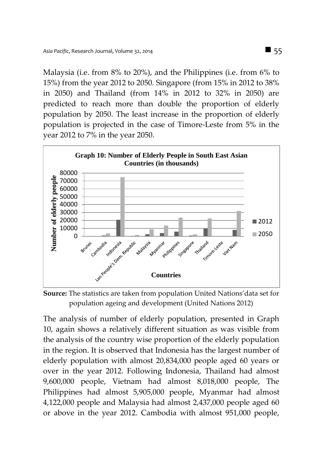Malaysia (i.e. from 8% to 20%), and the Philippines (i.e. from 6% to 15%) from the year 2012 to 2050. Singapore (from 15% in 2012 to 38% in 2050) and Thailand (from 14% in 2012 to 32% in 2050) are predicted to reach more than double the proportion of elderly population by 2050. The least increase in the proportion of elderly population is projected in the case of Timore-Leste from 5% in the year 2012 to 7% in the year 2050.

![](_page_15_Figure_2.jpeg)

**Source:** The statistics are taken from population United Nations'data set for population ageing and development (United Nations 2012)

The analysis of number of elderly population, presented in Graph 10, again shows a relatively different situation as was visible from the analysis of the country wise proportion of the elderly population in the region. It is observed that Indonesia has the largest number of elderly population with almost 20,834,000 people aged 60 years or over in the year 2012. Following Indonesia, Thailand had almost 9,600,000 people, Vietnam had almost 8,018,000 people, The Philippines had almost 5,905,000 people, Myanmar had almost 4,122,000 people and Malaysia had almost 2,437,000 people aged 60 or above in the year 2012. Cambodia with almost 951,000 people,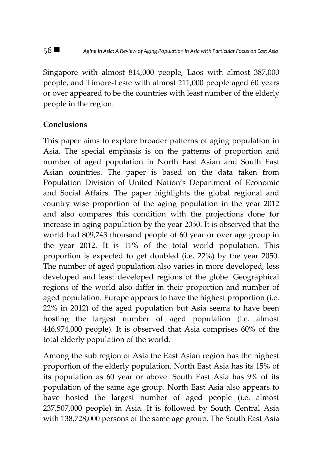Singapore with almost 814,000 people, Laos with almost 387,000 people, and Timore-Leste with almost 211,000 people aged 60 years or over appeared to be the countries with least number of the elderly people in the region.

### **Conclusions**

This paper aims to explore broader patterns of aging population in Asia. The special emphasis is on the patterns of proportion and number of aged population in North East Asian and South East Asian countries. The paper is based on the data taken from Population Division of United Nation's Department of Economic and Social Affairs. The paper highlights the global regional and country wise proportion of the aging population in the year 2012 and also compares this condition with the projections done for increase in aging population by the year 2050. It is observed that the world had 809,743 thousand people of 60 year or over age group in the year 2012. It is 11% of the total world population. This proportion is expected to get doubled (i.e. 22%) by the year 2050. The number of aged population also varies in more developed, less developed and least developed regions of the globe. Geographical regions of the world also differ in their proportion and number of aged population. Europe appears to have the highest proportion (i.e. 22% in 2012) of the aged population but Asia seems to have been hosting the largest number of aged population (i.e. almost 446,974,000 people). It is observed that Asia comprises 60% of the total elderly population of the world.

Among the sub region of Asia the East Asian region has the highest proportion of the elderly population. North East Asia has its 15% of its population as 60 year or above. South East Asia has 9% of its population of the same age group. North East Asia also appears to have hosted the largest number of aged people (i.e. almost 237,507,000 people) in Asia. It is followed by South Central Asia with 138,728,000 persons of the same age group. The South East Asia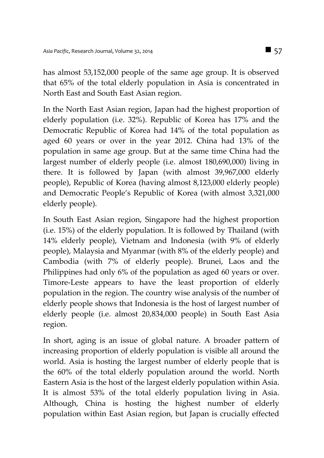has almost 53,152,000 people of the same age group. It is observed that 65% of the total elderly population in Asia is concentrated in North East and South East Asian region.

In the North East Asian region, Japan had the highest proportion of elderly population (i.e. 32%). Republic of Korea has 17% and the Democratic Republic of Korea had 14% of the total population as aged 60 years or over in the year 2012. China had 13% of the population in same age group. But at the same time China had the largest number of elderly people (i.e. almost 180,690,000) living in there. It is followed by Japan (with almost 39,967,000 elderly people), Republic of Korea (having almost 8,123,000 elderly people) and Democratic People's Republic of Korea (with almost 3,321,000 elderly people).

In South East Asian region, Singapore had the highest proportion (i.e. 15%) of the elderly population. It is followed by Thailand (with 14% elderly people), Vietnam and Indonesia (with 9% of elderly people), Malaysia and Myanmar (with 8% of the elderly people) and Cambodia (with 7% of elderly people). Brunei, Laos and the Philippines had only 6% of the population as aged 60 years or over. Timore-Leste appears to have the least proportion of elderly population in the region. The country wise analysis of the number of elderly people shows that Indonesia is the host of largest number of elderly people (i.e. almost 20,834,000 people) in South East Asia region.

In short, aging is an issue of global nature. A broader pattern of increasing proportion of elderly population is visible all around the world. Asia is hosting the largest number of elderly people that is the 60% of the total elderly population around the world. North Eastern Asia is the host of the largest elderly population within Asia. It is almost 53% of the total elderly population living in Asia. Although, China is hosting the highest number of elderly population within East Asian region, but Japan is crucially effected